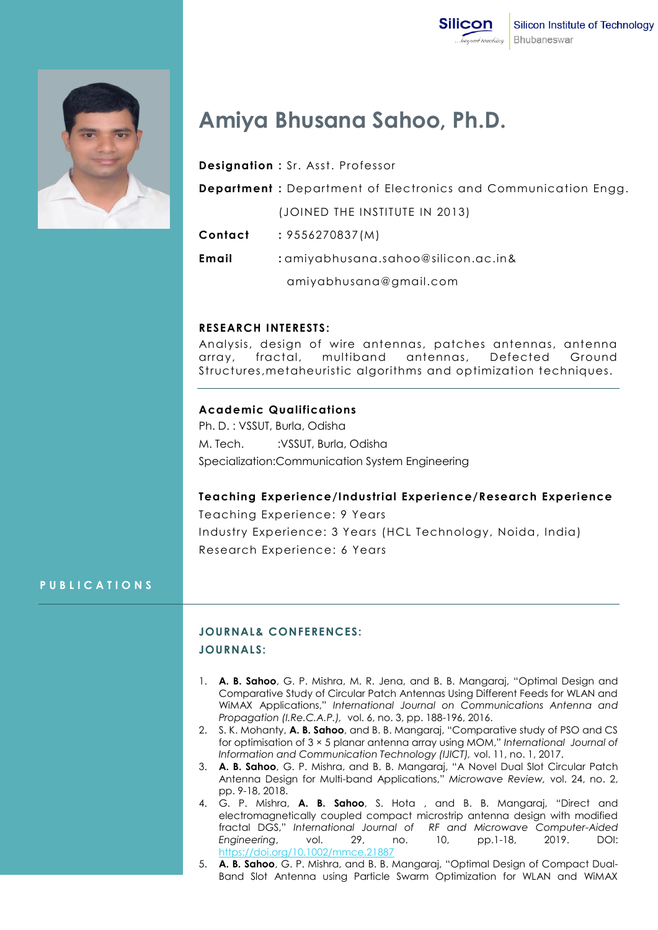

# **Amiya Bhusana Sahoo, Ph.D.**

| <b>Designation: Sr. Asst. Professor</b> |  |  |  |
|-----------------------------------------|--|--|--|
|-----------------------------------------|--|--|--|

**Department :** Department of Electronics and Communication Engg.

(JOINED THE INSTITUTE IN 2013)

**Contact :** 9556270837(M)

**Email :** amiyabhusana.sahoo@silicon.ac.in&

amiyabhusana@gmail.com

#### **RESEARCH INTERESTS:**

Analysis, design of wire antennas, patches antennas, antenna array, fractal, multiband antennas, Defected Ground Structures,metaheuristic algorithms and optimization techniques.

### **Academic Qualifications**

Ph. D. : VSSUT, Burla, Odisha M. Tech. :VSSUT, Burla, Odisha Specialization:Communication System Engineering

# **Teaching Experience/Industrial Experience/Research Experience**

Teaching Experience: 9 Years Industry Experience: 3 Years (HCL Technology, Noida, India) Research Experience: 6 Years

# **P U B L I C A T I O N S**

# **JOURNAL& CONFERENCES:**

#### **JOURNALS:**

- 1. **A. B. Sahoo**, G. P. Mishra, M. R. Jena, and B. B. Mangaraj, "Optimal Design and Comparative Study of Circular Patch Antennas Using Different Feeds for WLAN and WiMAX Applications," *International Journal on Communications Antenna and Propagation (I.Re.C.A.P.),* vol. 6, no. 3, pp. 188-196, 2016.
- 2. S. K. Mohanty, **A. B. Sahoo**, and B. B. Mangaraj, "Comparative study of PSO and CS for optimisation of 3 × 5 planar antenna array using MOM," *International Journal of Information and Communication Technology (IJICT),* vol. 11, no. 1, 2017.
- 3. **A. B. Sahoo**, G. P. Mishra, and B. B. Mangaraj, "A Novel Dual Slot Circular Patch Antenna Design for Multi-band Applications," *Microwave Review,* vol. 24, no. 2, pp. 9-18, 2018.
- 4. G. P. Mishra, **A. B. Sahoo**, S. Hota , and B. B. Mangaraj, "Direct and electromagnetically coupled compact microstrip antenna design with modified fractal DGS," *International Journal of RF and Microwave Computer-Aided Engineering*, vol. 29, no. 10, pp.1-18, 2019. DOI: https://doi.org/10.1002/mmce.21887
- 5. **A. B. Sahoo**, G. P. Mishra, and B. B. Mangaraj, "Optimal Design of Compact Dual-Band Slot Antenna using Particle Swarm Optimization for WLAN and WiMAX